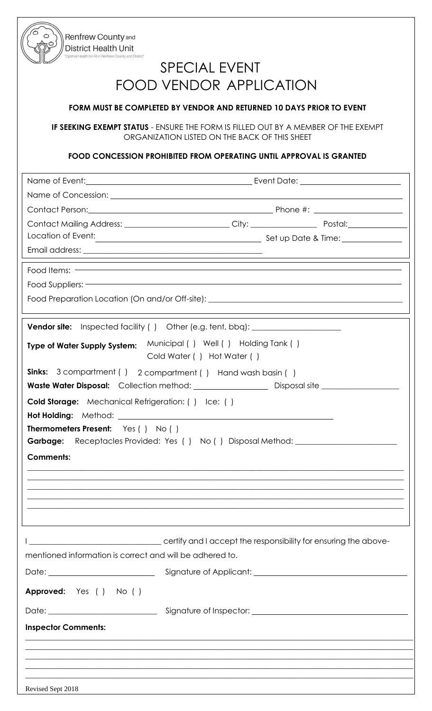Renfrew County and District Health Unit

# SPECIAL EVENT FOOD VENDOR APPLICATION

## **FORM MUST BE COMPLETED BY VENDOR AND RETURNED 10 DAYS PRIOR TO EVENT**

**IF SEEKING EXEMPT STATUS** - ENSURE THE FORM IS FILLED OUT BY A MEMBER OF THE EXEMPT ORGANIZATION LISTED ON THE BACK OF THIS SHEET

### **FOOD CONCESSION PROHIBITED FROM OPERATING UNTIL APPROVAL IS GRANTED**

|                                                                                                                                                                                                                 | Contact Mailing Address: ________________________City: __________________________ Postal: ____________________ |                                                                                  |  |
|-----------------------------------------------------------------------------------------------------------------------------------------------------------------------------------------------------------------|----------------------------------------------------------------------------------------------------------------|----------------------------------------------------------------------------------|--|
|                                                                                                                                                                                                                 |                                                                                                                |                                                                                  |  |
|                                                                                                                                                                                                                 |                                                                                                                |                                                                                  |  |
| Food Items:                                                                                                                                                                                                     |                                                                                                                |                                                                                  |  |
|                                                                                                                                                                                                                 |                                                                                                                |                                                                                  |  |
|                                                                                                                                                                                                                 |                                                                                                                |                                                                                  |  |
|                                                                                                                                                                                                                 | Vendor site: Inspected facility () Other (e.g. tent, bbq): _____________________                               |                                                                                  |  |
| Type of Water Supply System: Municipal () Well () Holding Tank ()<br>Cold Water () Hot Water ()                                                                                                                 |                                                                                                                |                                                                                  |  |
|                                                                                                                                                                                                                 | Sinks: 3 compartment () 2 compartment () Hand wash basin ()                                                    |                                                                                  |  |
| Waste Water Disposal: Collection method: University Disposal site University Original Property Disposal site<br>Cold Storage: Mechanical Refrigeration: () Ice: ()<br><b>Thermometers Present:</b> Yes () No () |                                                                                                                |                                                                                  |  |
|                                                                                                                                                                                                                 |                                                                                                                | Garbage: Receptacles Provided: Yes () No () Disposal Method: ___________________ |  |
|                                                                                                                                                                                                                 |                                                                                                                | <b>Comments:</b>                                                                 |  |
|                                                                                                                                                                                                                 |                                                                                                                |                                                                                  |  |
|                                                                                                                                                                                                                 |                                                                                                                |                                                                                  |  |
|                                                                                                                                                                                                                 |                                                                                                                |                                                                                  |  |
|                                                                                                                                                                                                                 | ,我们也不能在这里的时候,我们也不能在这里的时候,我们也不能不能不能不能不能不能不能不能不能不能不能不能不能不能不能。""我们的是,我们也不能不能不能不能不能不能                              |                                                                                  |  |
|                                                                                                                                                                                                                 |                                                                                                                |                                                                                  |  |
|                                                                                                                                                                                                                 | certify and I accept the responsibility for ensuring the above-                                                |                                                                                  |  |
| mentioned information is correct and will be adhered to.                                                                                                                                                        |                                                                                                                |                                                                                  |  |
|                                                                                                                                                                                                                 |                                                                                                                |                                                                                  |  |
| Approved: Yes ( ) No ( )                                                                                                                                                                                        |                                                                                                                |                                                                                  |  |
|                                                                                                                                                                                                                 |                                                                                                                |                                                                                  |  |
| <b>Inspector Comments:</b>                                                                                                                                                                                      |                                                                                                                |                                                                                  |  |
|                                                                                                                                                                                                                 |                                                                                                                |                                                                                  |  |
|                                                                                                                                                                                                                 |                                                                                                                |                                                                                  |  |
| Revised Sept 2018                                                                                                                                                                                               |                                                                                                                |                                                                                  |  |